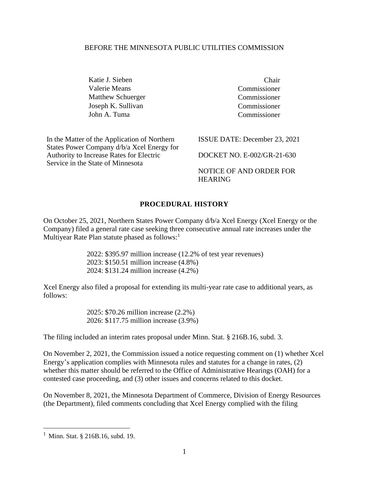#### BEFORE THE MINNESOTA PUBLIC UTILITIES COMMISSION

Katie J. Sieben Chair Valerie Means Commissioner Matthew Schuerger Commissioner Joseph K. Sullivan Commissioner John A. Tuma Commissioner

In the Matter of the Application of Northern States Power Company d/b/a Xcel Energy for Authority to Increase Rates for Electric Service in the State of Minnesota

ISSUE DATE: December 23, 2021

DOCKET NO. E-002/GR-21-630

NOTICE OF AND ORDER FOR HEARING

#### **PROCEDURAL HISTORY**

On October 25, 2021, Northern States Power Company d/b/a Xcel Energy (Xcel Energy or the Company) filed a general rate case seeking three consecutive annual rate increases under the Multiyear Rate Plan statute phased as follows: $<sup>1</sup>$ </sup>

> 2022: \$395.97 million increase (12.2% of test year revenues) 2023: \$150.51 million increase (4.8%) 2024: \$131.24 million increase (4.2%)

Xcel Energy also filed a proposal for extending its multi-year rate case to additional years, as follows:

> 2025: \$70.26 million increase (2.2%) 2026: \$117.75 million increase (3.9%)

The filing included an interim rates proposal under Minn. Stat. § 216B.16, subd. 3.

On November 2, 2021, the Commission issued a notice requesting comment on (1) whether Xcel Energy's application complies with Minnesota rules and statutes for a change in rates, (2) whether this matter should be referred to the Office of Administrative Hearings (OAH) for a contested case proceeding, and (3) other issues and concerns related to this docket.

On November 8, 2021, the Minnesota Department of Commerce, Division of Energy Resources (the Department), filed comments concluding that Xcel Energy complied with the filing

<sup>1</sup> Minn. Stat. § 216B.16, subd. 19.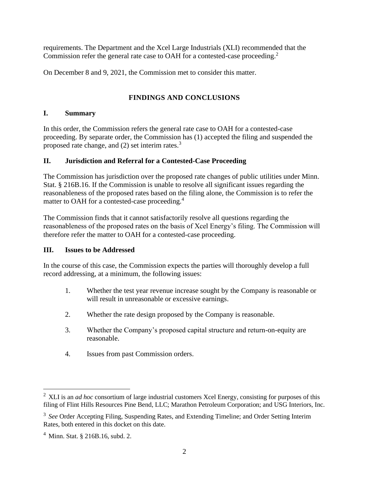requirements. The Department and the Xcel Large Industrials (XLI) recommended that the Commission refer the general rate case to OAH for a contested-case proceeding.<sup>2</sup>

On December 8 and 9, 2021, the Commission met to consider this matter.

## **FINDINGS AND CONCLUSIONS**

#### **I. Summary**

In this order, the Commission refers the general rate case to OAH for a contested-case proceeding. By separate order, the Commission has (1) accepted the filing and suspended the proposed rate change, and  $(2)$  set interim rates.<sup>3</sup>

#### **II. Jurisdiction and Referral for a Contested-Case Proceeding**

The Commission has jurisdiction over the proposed rate changes of public utilities under Minn. Stat. § 216B.16. If the Commission is unable to resolve all significant issues regarding the reasonableness of the proposed rates based on the filing alone, the Commission is to refer the matter to OAH for a contested-case proceeding.<sup>4</sup>

The Commission finds that it cannot satisfactorily resolve all questions regarding the reasonableness of the proposed rates on the basis of Xcel Energy's filing. The Commission will therefore refer the matter to OAH for a contested-case proceeding.

## **III. Issues to be Addressed**

In the course of this case, the Commission expects the parties will thoroughly develop a full record addressing, at a minimum, the following issues:

- 1. Whether the test year revenue increase sought by the Company is reasonable or will result in unreasonable or excessive earnings.
- 2. Whether the rate design proposed by the Company is reasonable.
- 3. Whether the Company's proposed capital structure and return-on-equity are reasonable.
- 4. Issues from past Commission orders.

<sup>&</sup>lt;sup>2</sup> XLI is an *ad hoc* consortium of large industrial customers Xcel Energy, consisting for purposes of this filing of Flint Hills Resources Pine Bend, LLC; Marathon Petroleum Corporation; and USG Interiors, Inc.

<sup>&</sup>lt;sup>3</sup> See Order Accepting Filing, Suspending Rates, and Extending Timeline; and Order Setting Interim Rates, both entered in this docket on this date.

<sup>4</sup> Minn. Stat. § 216B.16, subd. 2.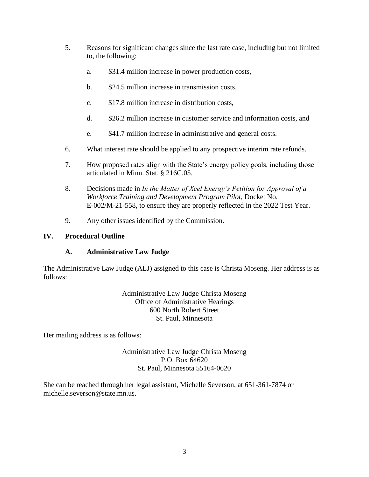- 5. Reasons for significant changes since the last rate case, including but not limited to, the following:
	- a. \$31.4 million increase in power production costs,
	- b. \$24.5 million increase in transmission costs,
	- c. \$17.8 million increase in distribution costs,
	- d. \$26.2 million increase in customer service and information costs, and
	- e. \$41.7 million increase in administrative and general costs.
- 6. What interest rate should be applied to any prospective interim rate refunds.
- 7. How proposed rates align with the State's energy policy goals, including those articulated in Minn. Stat. § 216C.05.
- 8. Decisions made in *In the Matter of Xcel Energy's Petition for Approval of a Workforce Training and Development Program Pilot*, Docket No. E-002/M-21-558, to ensure they are properly reflected in the 2022 Test Year.
- 9. Any other issues identified by the Commission.

## **IV. Procedural Outline**

## **A. Administrative Law Judge**

The Administrative Law Judge (ALJ) assigned to this case is Christa Moseng. Her address is as follows:

> Administrative Law Judge Christa Moseng Office of Administrative Hearings 600 North Robert Street St. Paul, Minnesota

Her mailing address is as follows:

Administrative Law Judge Christa Moseng P.O. Box 64620 St. Paul, Minnesota 55164-0620

She can be reached through her legal assistant, Michelle Severson, at 651-361-7874 or michelle.severson@state.mn.us.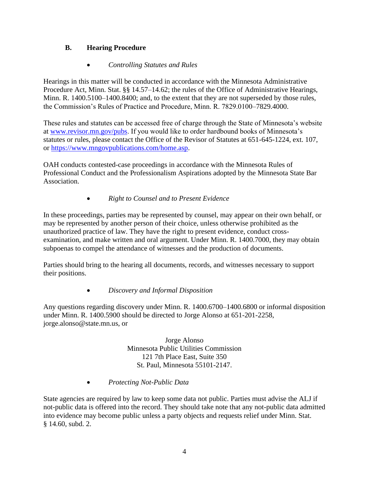# **B. Hearing Procedure**

## • *Controlling Statutes and Rules*

Hearings in this matter will be conducted in accordance with the Minnesota Administrative Procedure Act, Minn. Stat. §§ 14.57–14.62; the rules of the Office of Administrative Hearings, Minn. R. 1400.5100–1400.8400; and, to the extent that they are not superseded by those rules, the Commission's Rules of Practice and Procedure, Minn. R. 7829.0100–7829.4000.

These rules and statutes can be accessed free of charge through the State of Minnesota's website at [www.revisor.mn.gov/pubs.](http://www.revisor.mn.gov/pubs) If you would like to order hardbound books of Minnesota's statutes or rules, please contact the Office of the Revisor of Statutes at 651-645-1224, ext. 107, or [https://www.mngovpublications.com/home.asp.](https://www.mngovpublications.com/home.asp)

OAH conducts contested-case proceedings in accordance with the Minnesota Rules of Professional Conduct and the Professionalism Aspirations adopted by the Minnesota State Bar Association.

## • *Right to Counsel and to Present Evidence*

In these proceedings, parties may be represented by counsel, may appear on their own behalf, or may be represented by another person of their choice, unless otherwise prohibited as the unauthorized practice of law. They have the right to present evidence, conduct crossexamination, and make written and oral argument. Under Minn. R. 1400.7000, they may obtain subpoenas to compel the attendance of witnesses and the production of documents.

Parties should bring to the hearing all documents, records, and witnesses necessary to support their positions.

## • *Discovery and Informal Disposition*

Any questions regarding discovery under Minn. R. 1400.6700–1400.6800 or informal disposition under Minn. R. 1400.5900 should be directed to Jorge Alonso at 651-201-2258, jorge.alonso@state.mn.us, or

> Jorge Alonso Minnesota Public Utilities Commission 121 7th Place East, Suite 350 St. Paul, Minnesota 55101-2147.

• *Protecting Not-Public Data*

State agencies are required by law to keep some data not public. Parties must advise the ALJ if not-public data is offered into the record. They should take note that any not-public data admitted into evidence may become public unless a party objects and requests relief under Minn. Stat. § 14.60, subd. 2.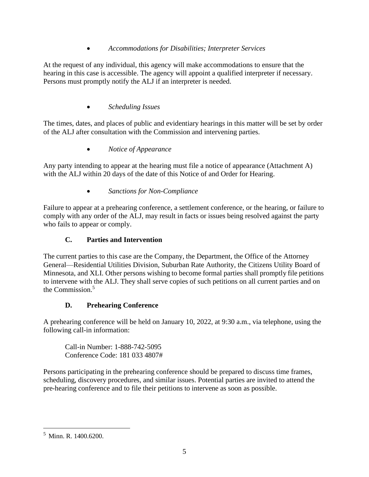## • *Accommodations for Disabilities; Interpreter Services*

At the request of any individual, this agency will make accommodations to ensure that the hearing in this case is accessible. The agency will appoint a qualified interpreter if necessary. Persons must promptly notify the ALJ if an interpreter is needed.

# • *Scheduling Issues*

The times, dates, and places of public and evidentiary hearings in this matter will be set by order of the ALJ after consultation with the Commission and intervening parties.

• *Notice of Appearance*

Any party intending to appear at the hearing must file a notice of appearance (Attachment A) with the ALJ within 20 days of the date of this Notice of and Order for Hearing.

• *Sanctions for Non-Compliance*

Failure to appear at a prehearing conference, a settlement conference, or the hearing, or failure to comply with any order of the ALJ, may result in facts or issues being resolved against the party who fails to appear or comply.

# **C. Parties and Intervention**

The current parties to this case are the Company, the Department, the Office of the Attorney General—Residential Utilities Division, Suburban Rate Authority, the Citizens Utility Board of Minnesota, and XLI. Other persons wishing to become formal parties shall promptly file petitions to intervene with the ALJ. They shall serve copies of such petitions on all current parties and on the Commission. $5$ 

## **D. Prehearing Conference**

A prehearing conference will be held on January 10, 2022, at 9:30 a.m., via telephone, using the following call-in information:

Call-in Number: 1-888-742-5095 Conference Code: 181 033 4807#

Persons participating in the prehearing conference should be prepared to discuss time frames, scheduling, discovery procedures, and similar issues. Potential parties are invited to attend the pre-hearing conference and to file their petitions to intervene as soon as possible.

<sup>5</sup> Minn. R. 1400.6200.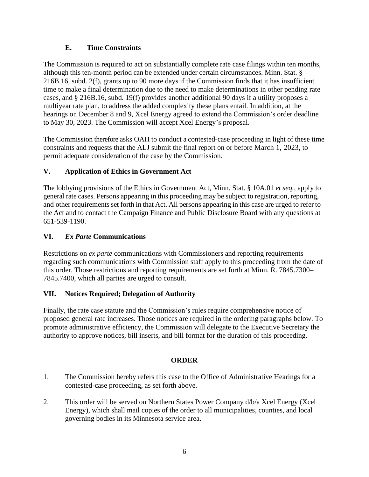## **E. Time Constraints**

The Commission is required to act on substantially complete rate case filings within ten months, although this ten-month period can be extended under certain circumstances. Minn. Stat. § 216B.16, subd. 2(f), grants up to 90 more days if the Commission finds that it has insufficient time to make a final determination due to the need to make determinations in other pending rate cases, and § 216B.16, subd. 19(f) provides another additional 90 days if a utility proposes a multiyear rate plan, to address the added complexity these plans entail. In addition, at the hearings on December 8 and 9, Xcel Energy agreed to extend the Commission's order deadline to May 30, 2023. The Commission will accept Xcel Energy's proposal.

The Commission therefore asks OAH to conduct a contested-case proceeding in light of these time constraints and requests that the ALJ submit the final report on or before March 1, 2023, to permit adequate consideration of the case by the Commission.

## **V. Application of Ethics in Government Act**

The lobbying provisions of the Ethics in Government Act, Minn. Stat. § 10A.01 *et seq.*, apply to general rate cases. Persons appearing in this proceeding may be subject to registration, reporting, and other requirements set forth in that Act. All persons appearing in this case are urged to refer to the Act and to contact the Campaign Finance and Public Disclosure Board with any questions at 651-539-1190.

## **VI.** *Ex Parte* **Communications**

Restrictions on *ex parte* communications with Commissioners and reporting requirements regarding such communications with Commission staff apply to this proceeding from the date of this order. Those restrictions and reporting requirements are set forth at Minn. R. 7845.7300– 7845.7400, which all parties are urged to consult.

## **VII. Notices Required; Delegation of Authority**

Finally, the rate case statute and the Commission's rules require comprehensive notice of proposed general rate increases. Those notices are required in the ordering paragraphs below. To promote administrative efficiency, the Commission will delegate to the Executive Secretary the authority to approve notices, bill inserts, and bill format for the duration of this proceeding.

## **ORDER**

- 1. The Commission hereby refers this case to the Office of Administrative Hearings for a contested-case proceeding, as set forth above.
- 2. This order will be served on Northern States Power Company d/b/a Xcel Energy (Xcel Energy), which shall mail copies of the order to all municipalities, counties, and local governing bodies in its Minnesota service area.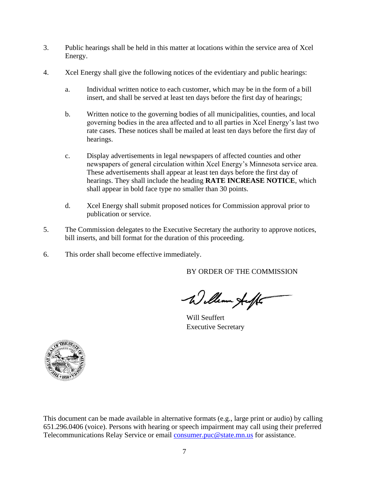- 3. Public hearings shall be held in this matter at locations within the service area of Xcel Energy.
- 4. Xcel Energy shall give the following notices of the evidentiary and public hearings:
	- a. Individual written notice to each customer, which may be in the form of a bill insert, and shall be served at least ten days before the first day of hearings;
	- b. Written notice to the governing bodies of all municipalities, counties, and local governing bodies in the area affected and to all parties in Xcel Energy's last two rate cases. These notices shall be mailed at least ten days before the first day of hearings.
	- c. Display advertisements in legal newspapers of affected counties and other newspapers of general circulation within Xcel Energy's Minnesota service area. These advertisements shall appear at least ten days before the first day of hearings. They shall include the heading **RATE INCREASE NOTICE**, which shall appear in bold face type no smaller than 30 points.
	- d. Xcel Energy shall submit proposed notices for Commission approval prior to publication or service.
- 5. The Commission delegates to the Executive Secretary the authority to approve notices, bill inserts, and bill format for the duration of this proceeding.
- 6. This order shall become effective immediately.

BY ORDER OF THE COMMISSION

William Auff

Will Seuffert Executive Secretary



This document can be made available in alternative formats (e.g., large print or audio) by calling 651.296.0406 (voice). Persons with hearing or speech impairment may call using their preferred Telecommunications Relay Service or email [consumer.puc@state.mn.us](mailto:consumer.puc@state.mn.us) for assistance.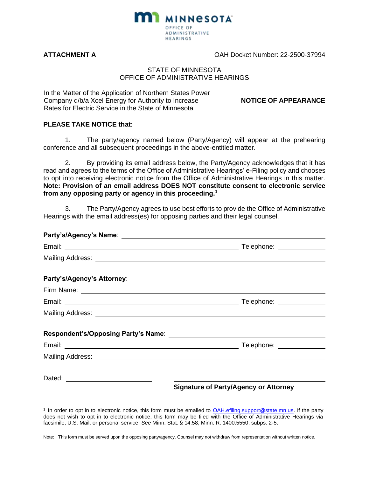

**ATTACHMENT A** OAH Docket Number: 22-2500-37994

#### STATE OF MINNESOTA OFFICE OF ADMINISTRATIVE HEARINGS

In the Matter of the Application of Northern States Power Company d/b/a Xcel Energy for Authority to Increase Rates for Electric Service in the State of Minnesota

**NOTICE OF APPEARANCE**

#### **PLEASE TAKE NOTICE that**:

1. The party/agency named below (Party/Agency) will appear at the prehearing conference and all subsequent proceedings in the above-entitled matter.

2. By providing its email address below, the Party/Agency acknowledges that it has read and agrees to the terms of the Office of Administrative Hearings' e-Filing policy and chooses to opt into receiving electronic notice from the Office of Administrative Hearings in this matter. **Note: Provision of an email address DOES NOT constitute consent to electronic service from any opposing party or agency in this proceeding.<sup>1</sup>**

3. The Party/Agency agrees to use best efforts to provide the Office of Administrative Hearings with the email address(es) for opposing parties and their legal counsel.

| Party's/Agency's Name: 2008 2012 2022 2023 2024 2022 2023 2024 2022 2023 2024 2022 2023 2024 2022 2023 2024 20 |                                              |
|----------------------------------------------------------------------------------------------------------------|----------------------------------------------|
|                                                                                                                |                                              |
|                                                                                                                |                                              |
|                                                                                                                |                                              |
|                                                                                                                |                                              |
|                                                                                                                |                                              |
|                                                                                                                |                                              |
|                                                                                                                |                                              |
|                                                                                                                |                                              |
|                                                                                                                |                                              |
|                                                                                                                |                                              |
|                                                                                                                | <b>Signature of Party/Agency or Attorney</b> |

<sup>&</sup>lt;sup>1</sup> In order to opt in to electronic notice, this form must be emailed to **OAH.efiling.support@state.mn.us**. If the party does not wish to opt in to electronic notice, this form may be filed with the Office of Administrative Hearings via facsimile, U.S. Mail, or personal service. *See* Minn. Stat. § 14.58, Minn. R. 1400.5550, subps. 2-5.

Note: This form must be served upon the opposing party/agency. Counsel may not withdraw from representation without written notice.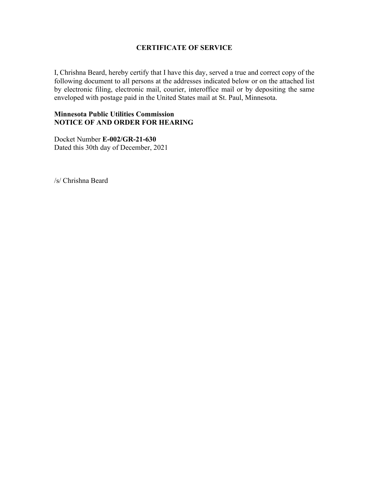## **CERTIFICATE OF SERVICE**

I, Chrishna Beard, hereby certify that I have this day, served a true and correct copy of the following document to all persons at the addresses indicated below or on the attached list by electronic filing, electronic mail, courier, interoffice mail or by depositing the same enveloped with postage paid in the United States mail at St. Paul, Minnesota.

#### **Minnesota Public Utilities Commission NOTICE OF AND ORDER FOR HEARING**

Docket Number **E-002/GR-21-630** Dated this 30th day of December, 2021

/s/ Chrishna Beard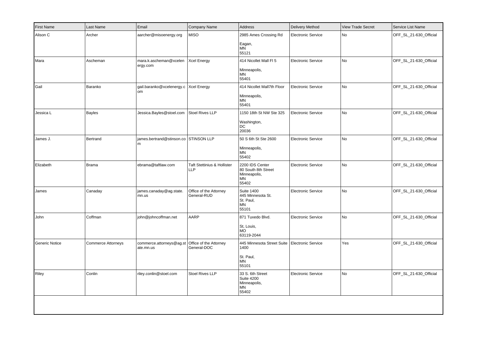| <b>First Name</b> | Last Name          | Email                                        | Company Name                              | Address                                                               | Delivery Method           | <b>View Trade Secret</b> | Service List Name      |
|-------------------|--------------------|----------------------------------------------|-------------------------------------------|-----------------------------------------------------------------------|---------------------------|--------------------------|------------------------|
| Alison C          | Archer             | aarcher@misoenergy.org                       | <b>MISO</b>                               | 2985 Ames Crossing Rd<br>Eagan,                                       | <b>Electronic Service</b> | No                       | OFF_SL_21-630_Official |
|                   |                    |                                              |                                           | <b>MN</b><br>55121                                                    |                           |                          |                        |
| Mara              | Ascheman           | mara.k.ascheman@xcelen<br>ergy.com           | <b>Xcel Energy</b>                        | 414 Nicollet Mall FI 5                                                | <b>Electronic Service</b> | No                       | OFF_SL_21-630_Official |
|                   |                    |                                              |                                           | Minneapolis,<br>MN<br>55401                                           |                           |                          |                        |
| Gail              | Baranko            | gail.baranko@xcelenergy.c Xcel Energy<br>lom |                                           | 414 Nicollet Mall7th Floor<br>Minneapolis,<br>MN<br>55401             | <b>Electronic Service</b> | <b>No</b>                | OFF_SL_21-630_Official |
| Jessica L         | Bayles             | Jessica.Bayles@stoel.com                     | Stoel Rives LLP                           | 1150 18th St NW Ste 325                                               | <b>Electronic Service</b> | No                       | OFF_SL_21-630_Official |
|                   |                    |                                              |                                           | Washington,<br>DC<br>20036                                            |                           |                          |                        |
| James J.          | Bertrand           | ames.bertrand@stinson.co STINSON LLP<br>l m  |                                           | 50 S 6th St Ste 2600                                                  | <b>Electronic Service</b> | No                       | OFF_SL_21-630_Official |
|                   |                    |                                              |                                           | Minneapolis,<br><b>MN</b><br>55402                                    |                           |                          |                        |
| Elizabeth         | <b>Brama</b>       | ebrama@taftlaw.com                           | Taft Stettinius & Hollister<br><b>LLP</b> | 2200 IDS Center<br>80 South 8th Street<br>Minneapolis,<br>MN<br>55402 | <b>Electronic Service</b> | No                       | OFF_SL_21-630_Official |
| James             | Canaday            | james.canaday@ag.state.<br>mn.us             | Office of the Attorney<br>General-RUD     | <b>Suite 1400</b><br>445 Minnesota St.<br>St. Paul,<br>MN<br>55101    | <b>Electronic Service</b> | No                       | OFF_SL_21-630_Official |
| John              | Coffman            | john@johncoffman.net                         | AARP                                      | 871 Tuxedo Blvd.                                                      | <b>Electronic Service</b> | No                       | OFF_SL_21-630_Official |
|                   |                    |                                              |                                           | St, Louis,<br><b>MO</b><br>63119-2044                                 |                           |                          |                        |
| Generic Notice    | Commerce Attorneys | commerce.attorneys@ag.st<br>ate.mn.us        | Office of the Attorney<br>General-DOC     | 445 Minnesota Street Suite<br>1400                                    | <b>Electronic Service</b> | Yes                      | OFF_SL_21-630_Official |
|                   |                    |                                              |                                           | St. Paul,<br>MN<br>55101                                              |                           |                          |                        |
| Riley             | Conlin             | riley.conlin@stoel.com                       | <b>Stoel Rives LLP</b>                    | 33 S. 6th Street<br><b>Suite 4200</b><br>Minneapolis,<br>MN<br>55402  | <b>Electronic Service</b> | No                       | OFF_SL_21-630_Official |
|                   |                    |                                              |                                           |                                                                       |                           |                          |                        |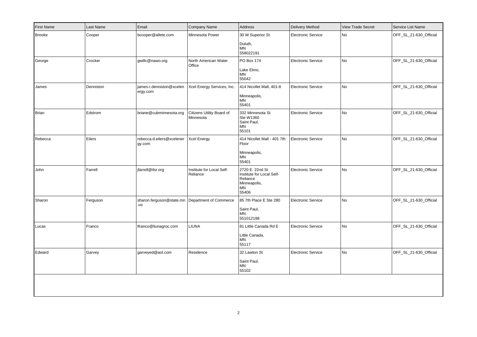| <b>First Name</b> | Last Name | Email                                                  | Company Name                           | Address                                                                                 | <b>Delivery Method</b>    | <b>View Trade Secret</b> | Service List Name      |
|-------------------|-----------|--------------------------------------------------------|----------------------------------------|-----------------------------------------------------------------------------------------|---------------------------|--------------------------|------------------------|
| <b>Brooke</b>     | Cooper    | bcooper@allete.com                                     | Minnesota Power                        | 30 W Superior St<br>Duluth,<br><b>MN</b><br>558022191                                   | <b>Electronic Service</b> | No                       | OFF_SL_21-630_Official |
| George            | Crocker   | gwillc@nawo.org                                        | North American Water<br>Office         | PO Box 174<br>Lake Elmo,<br>ΜN<br>55042                                                 | Electronic Service        | No                       | OFF_SL_21-630_Official |
| James             | Denniston | james.r.denniston@xcelen<br>ergy.com                   | Xcel Energy Services, Inc.             | 414 Nicollet Mall, 401-8<br>Minneapolis,<br><b>MN</b><br>55401                          | <b>Electronic Service</b> | No                       | OFF_SL_21-630_Official |
| Brian             | Edstrom   | briane@cubminnesota.org                                | Citizens Utility Board of<br>Minnesota | 332 Minnesota St<br>Ste W1360<br>Saint Paul,<br>MN<br>55101                             | <b>Electronic Service</b> | No                       | OFF_SL_21-630_Official |
| Rebecca           | Eilers    | rebecca.d.eilers@xcelener<br>gy.com                    | Xcel Energy                            | 414 Nicollet Mall - 401 7th<br>Floor<br>Minneapolis,<br>MN<br>55401                     | <b>Electronic Service</b> | No                       | OFF_SL_21-630_Official |
| John              | Farrell   | jfarrell@ilsr.org                                      | Institute for Local Self-<br>Reliance  | 2720 E. 22nd St<br>Institute for Local Self-<br>Reliance<br>Minneapolis,<br>MN<br>55406 | <b>Electronic Service</b> | No.                      | OFF_SL_21-630_Official |
| Sharon            | Ferguson  | sharon.ferguson@state.mn Department of Commerce<br>.us |                                        | 85 7th Place E Ste 280<br>Saint Paul,<br>MN<br>551012198                                | <b>Electronic Service</b> | No                       | OFF_SL_21-630_Official |
| Lucas             | Franco    | Ifranco@liunagroc.com                                  | <b>LIUNA</b>                           | 81 Little Canada Rd E<br>Little Canada,<br><b>MN</b><br>55117                           | <b>Electronic Service</b> | No                       | OFF_SL_21-630_Official |
| Edward            | Garvey    | garveyed@aol.com                                       | Residence                              | 32 Lawton St<br>Saint Paul,<br>ΜN<br>55102                                              | <b>Electronic Service</b> | No                       | OFF_SL_21-630_Official |
|                   |           |                                                        |                                        |                                                                                         |                           |                          |                        |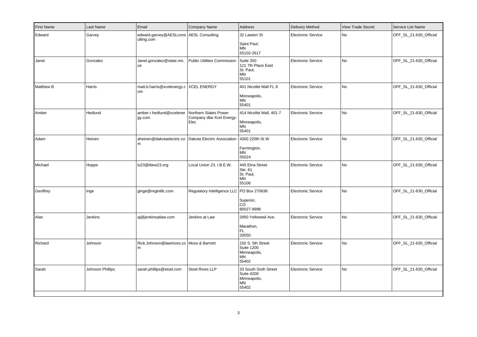| First Name       | Last Name        | Email                                                | Company Name                                              | Address                                                                      | Delivery Method           | <b>View Trade Secret</b> | Service List Name      |
|------------------|------------------|------------------------------------------------------|-----------------------------------------------------------|------------------------------------------------------------------------------|---------------------------|--------------------------|------------------------|
| Edward           | Garvey           | edward.garvey@AESLcons AESL Consulting<br>ulting.com |                                                           | 32 Lawton St<br>Saint Paul,<br>MN<br>55102-2617                              | <b>Electronic Service</b> | <b>No</b>                | OFF SL 21-630 Official |
| Janet            | Gonzalez         | Janet.gonzalez@state.mn.<br><b>us</b>                | Public Utilities Commission Suite 350                     | 121 7th Place East<br>St. Paul,<br>MN<br>55101                               | <b>Electronic Service</b> | No                       | OFF_SL_21-630_Official |
| <b>Matthew B</b> | Harris           | matt.b.harris@xcelenergy.c   XCEL ENERGY<br>om       |                                                           | 401 Nicollet Mall FL 8<br>Minneapolis,<br><b>MN</b><br>55401                 | <b>Electronic Service</b> | No                       | OFF_SL_21-630_Official |
| Amber            | Hedlund          | amber.r.hedlund@xcelener<br>gy.com                   | Northern States Power<br>Company dba Xcel Energy-<br>Elec | 414 Nicollet Mall, 401-7<br>Minneapolis,<br>MN<br>55401                      | <b>Electronic Service</b> | <b>No</b>                | OFF_SL_21-630_Official |
| Adam             | Heinen           | aheinen@dakotaelectric.co<br>m                       | Dakota Electric Association   4300 220th St W             | Farmington,<br>MN<br>55024                                                   | <b>Electronic Service</b> | No                       | OFF_SL_21-630_Official |
| Michael          | Hoppe            | lu23@ibew23.org                                      | Local Union 23, I.B.E.W.                                  | 445 Etna Street<br>Ste. 61<br>St. Paul,<br><b>MN</b><br>55106                | <b>Electronic Service</b> | No                       | OFF_SL_21-630_Official |
| Geoffrey         | Inge             | ginge@regintllc.com                                  | Regulatory Intelligence LLC PO Box 270636                 | Superior,<br><b>CO</b><br>80027-9998                                         | <b>Electronic Service</b> | No                       | OFF_SL_21-630_Official |
| Alan             | Jenkins          | aj@jenkinsatlaw.com                                  | Jenkins at Law                                            | 2950 Yellowtail Ave.<br>Marathon,<br>FL.<br>33050                            | <b>Electronic Service</b> | No                       | OFF_SL_21-630_Official |
| Richard          | Johnson          | Rick.Johnson@lawmoss.co   Moss & Barnett<br>m        |                                                           | 150 S. 5th Street<br><b>Suite 1200</b><br>Minneapolis,<br><b>MN</b><br>55402 | <b>Electronic Service</b> | No                       | OFF_SL_21-630_Official |
| Sarah            | Johnson Phillips | sarah.phillips@stoel.com                             | Stoel Rives LLP                                           | 33 South Sixth Street<br><b>Suite 4200</b><br>Minneapolis,<br>MN<br>55402    | <b>Electronic Service</b> | No                       | OFF_SL_21-630_Official |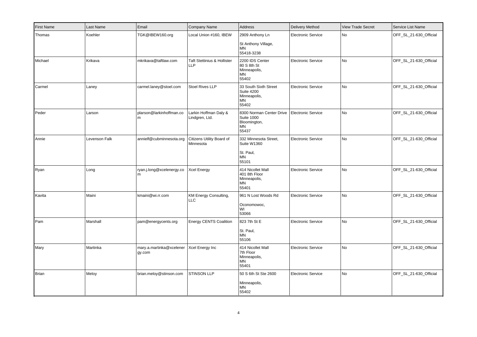| <b>First Name</b> | Last Name     | Email                              | Company Name                                         | Address                                                                      | Delivery Method           | <b>View Trade Secret</b> | Service List Name      |
|-------------------|---------------|------------------------------------|------------------------------------------------------|------------------------------------------------------------------------------|---------------------------|--------------------------|------------------------|
| Thomas            | Koehler       | TGK@IBEW160.org                    | Local Union #160, IBEW                               | 2909 Anthony Ln                                                              | <b>Electronic Service</b> | No                       | OFF_SL_21-630_Official |
|                   |               |                                    |                                                      | St Anthony Village,<br><b>MN</b><br>55418-3238                               |                           |                          |                        |
| Michael           | Krikava       | mkrikava@taftlaw.com               | <b>Taft Stettinius &amp; Hollister</b><br><b>LLP</b> | 2200 IDS Center<br>80 S 8th St<br>Minneapolis,<br>ΜN<br>55402                | <b>Electronic Service</b> | No                       | OFF_SL_21-630_Official |
| Carmel            | Laney         | carmel.laney@stoel.com             | Stoel Rives LLP                                      | 33 South Sixth Street<br><b>Suite 4200</b><br>Minneapolis,<br>MN<br>55402    | <b>Electronic Service</b> | No                       | OFF_SL_21-630_Official |
| Peder             | Larson        | plarson@larkinhoffman.co<br>l m    | Larkin Hoffman Daly &<br>Lindgren, Ltd.              | 8300 Norman Center Drive<br><b>Suite 1000</b><br>Bloomington,<br>MN<br>55437 | Electronic Service        | <b>No</b>                | OFF_SL_21-630_Official |
| Annie             | Levenson Falk | annielf@cubminnesota.org           | Citizens Utility Board of<br>Minnesota               | 332 Minnesota Street,<br>Suite W1360<br>St. Paul,<br>MN<br>55101             | <b>Electronic Service</b> | No                       | OFF_SL_21-630_Official |
| Ryan              | Long          | ryan.j.long@xcelenergy.co<br>m     | Xcel Energy                                          | 414 Nicollet Mall<br>401 8th Floor<br>Minneapolis,<br><b>MN</b><br>55401     | <b>Electronic Service</b> | No                       | OFF_SL_21-630_Official |
| Kavita            | Maini         | kmaini@wi.rr.com                   | KM Energy Consulting,<br><b>LLC</b>                  | 961 N Lost Woods Rd<br>Oconomowoc,<br>WI<br>53066                            | <b>Electronic Service</b> | No                       | OFF_SL_21-630_Official |
| Pam               | Marshall      | pam@energycents.org                | <b>Energy CENTS Coalition</b>                        | 823 7th St E<br>St. Paul,<br>MN<br>55106                                     | <b>Electronic Service</b> | No                       | OFF_SL_21-630_Official |
| Mary              | Martinka      | mary.a.martinka@xcelener<br>gy.com | Xcel Energy Inc                                      | 414 Nicollet Mall<br>7th Floor<br>Minneapolis,<br>MN<br>55401                | Electronic Service        | <b>No</b>                | OFF_SL_21-630_Official |
| Brian             | Meloy         | brian.meloy@stinson.com            | <b>STINSON LLP</b>                                   | 50 S 6th St Ste 2600<br>Minneapolis,<br>MN<br>55402                          | <b>Electronic Service</b> | No                       | OFF_SL_21-630_Official |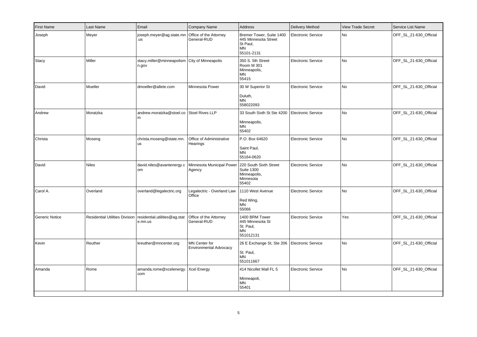| <b>First Name</b> | Last Name    | Email                                                                     | Company Name                                               | Address                                                                          | <b>Delivery Method</b>    | <b>View Trade Secret</b> | Service List Name      |
|-------------------|--------------|---------------------------------------------------------------------------|------------------------------------------------------------|----------------------------------------------------------------------------------|---------------------------|--------------------------|------------------------|
| Joseph            | Meyer        | joseph.meyer@ag.state.mn<br>.us                                           | Office of the Attorney<br>General-RUD                      | Bremer Tower, Suite 1400<br>445 Minnesota Street<br>St Paul,<br>ΜN<br>55101-2131 | Electronic Service        | <b>No</b>                | OFF_SL_21-630_Official |
| Stacy             | Miller       | stacy.miller@minneapolism City of Minneapolis<br>n.gov                    |                                                            | 350 S. 5th Street<br>Room M 301<br>Minneapolis,<br>ΜN<br>55415                   | <b>Electronic Service</b> | No                       | OFF_SL_21-630_Official |
| David             | Moeller      | dmoeller@allete.com                                                       | Minnesota Power                                            | 30 W Superior St<br>Duluth,<br><b>MN</b><br>558022093                            | <b>Electronic Service</b> | No                       | OFF_SL_21-630_Official |
| Andrew            | Moratzka     | andrew.moratzka@stoel.co Stoel Rives LLP<br>l m                           |                                                            | 33 South Sixth St Ste 4200<br>Minneapolis,<br>MN<br>55402                        | <b>Electronic Service</b> | No                       | OFF_SL_21-630_Official |
| Christa           | Moseng       | christa.moseng@state.mn.<br>lus                                           | Office of Administrative<br>Hearings                       | P.O. Box 64620<br>Saint Paul,<br>MN<br>55164-0620                                | <b>Electronic Service</b> | <b>No</b>                | OFF SL 21-630 Official |
| David             | <b>Niles</b> | david.niles@avantenergy.c<br>lom                                          | Minnesota Municipal Power 220 South Sixth Street<br>Agency | <b>Suite 1300</b><br>Minneapolis,<br>Minnesota<br>55402                          | <b>Electronic Service</b> | No                       | OFF_SL_21-630_Official |
| Carol A.          | Overland     | overland@legalectric.org                                                  | Legalectric - Overland Law<br>Office                       | 1110 West Avenue<br>Red Wing,<br>ΜN<br>55066                                     | <b>Electronic Service</b> | No                       | OFF_SL_21-630_Official |
| Generic Notice    |              | Residential Utilities Division   residential.utilities@ag.stat<br>e.mn.us | Office of the Attorney<br>General-RUD                      | 1400 BRM Tower<br>445 Minnesota St<br>St. Paul,<br><b>MN</b><br>551012131        | <b>Electronic Service</b> | Yes                      | OFF_SL_21-630_Official |
| Kevin             | Reuther      | kreuther@mncenter.org                                                     | MN Center for<br><b>Environmental Advocacy</b>             | 26 E Exchange St, Ste 206<br>St. Paul,<br><b>MN</b><br>551011667                 | <b>Electronic Service</b> | No                       | OFF_SL_21-630_Official |
| Amanda            | Rome         | amanda.rome@xcelenergy.   Xcel Energy<br>  com                            |                                                            | 414 Nicollet Mall FL 5<br>Minneapoli,<br>MN<br>55401                             | <b>Electronic Service</b> | No                       | OFF_SL_21-630_Official |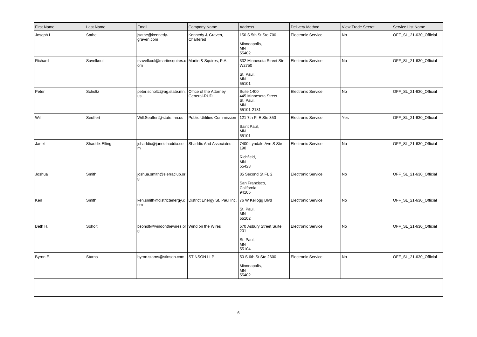| <b>First Name</b> | Last Name      | Email                                                     | Company Name                          | Address                                                                           | <b>Delivery Method</b>    | <b>View Trade Secret</b> | Service List Name      |
|-------------------|----------------|-----------------------------------------------------------|---------------------------------------|-----------------------------------------------------------------------------------|---------------------------|--------------------------|------------------------|
| Joseph L          | Sathe          | jsathe@kennedy-<br>graven.com                             | Kennedy & Graven,<br>Chartered        | 150 S 5th St Ste 700<br>Minneapolis,<br>MN<br>55402                               | <b>Electronic Service</b> | No                       | OFF SL 21-630 Official |
| Richard           | Savelkoul      | rsavelkoul@martinsquires.c Martin & Squires, P.A.<br>l om |                                       | 332 Minnesota Street Ste<br>W2750<br>St. Paul,<br><b>MN</b><br>55101              | <b>Electronic Service</b> | No                       | OFF_SL_21-630_Official |
| Peter             | Scholtz        | peter.scholtz@ag.state.mn.<br>lus.                        | Office of the Attorney<br>General-RUD | <b>Suite 1400</b><br>445 Minnesota Street<br>St. Paul,<br><b>MN</b><br>55101-2131 | <b>Electronic Service</b> | No                       | OFF_SL_21-630_Official |
| Will              | Seuffert       | Will.Seuffert@state.mn.us                                 | <b>Public Utilities Commission</b>    | 121 7th PI E Ste 350<br>Saint Paul,<br><b>MN</b><br>55101                         | Electronic Service        | Yes                      | OFF_SL_21-630_Official |
| Janet             | Shaddix Elling | shaddix@janetshaddix.co<br>l m                            | <b>Shaddix And Associates</b>         | 7400 Lyndale Ave S Ste<br>190<br>Richfield,<br>MN<br>55423                        | <b>Electronic Service</b> | No                       | OFF_SL_21-630_Official |
| Joshua            | Smith          | joshua.smith@sierraclub.or<br>١g                          |                                       | 85 Second St FL 2<br>San Francisco,<br>California<br>94105                        | <b>Electronic Service</b> | No                       | OFF_SL_21-630_Official |
| Ken               | Smith          | ken.smith@districtenergy.c<br> om                         | District Energy St. Paul Inc.         | 76 W Kellogg Blvd<br>St. Paul,<br>ΜN<br>55102                                     | <b>Electronic Service</b> | No                       | OFF_SL_21-630_Official |
| Beth H.           | Soholt         | bsoholt@windonthewires.or Wind on the Wires<br>١g         |                                       | 570 Asbury Street Suite<br>201<br>St. Paul,<br><b>MN</b><br>55104                 | <b>Electronic Service</b> | No                       | OFF_SL_21-630_Official |
| Byron E.          | <b>Starns</b>  | byron.starns@stinson.com                                  | STINSON LLP                           | 50 S 6th St Ste 2600<br>Minneapolis,<br>ΜN<br>55402                               | <b>Electronic Service</b> | No                       | OFF_SL_21-630_Official |
|                   |                |                                                           |                                       |                                                                                   |                           |                          |                        |